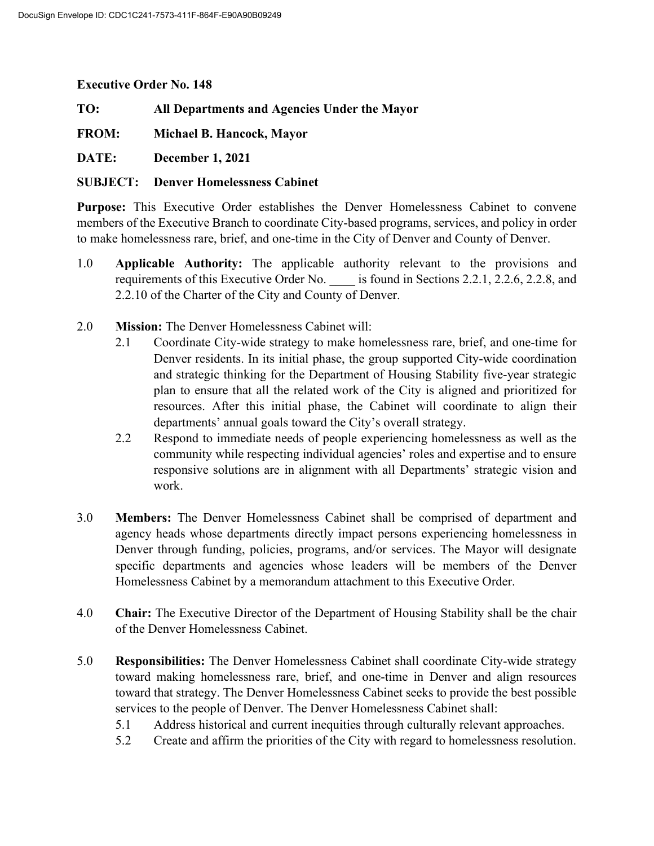**Executive Order No. 148**

**TO: All Departments and Agencies Under the Mayor**

**FROM: Michael B. Hancock, Mayor**

**DATE: December 1, 2021**

## **SUBJECT: Denver Homelessness Cabinet**

**Purpose:** This Executive Order establishes the Denver Homelessness Cabinet to convene members of the Executive Branch to coordinate City-based programs, services, and policy in order to make homelessness rare, brief, and one-time in the City of Denver and County of Denver.

- 1.0 **Applicable Authority:** The applicable authority relevant to the provisions and requirements of this Executive Order No. \_\_\_\_ is found in Sections 2.2.1, 2.2.6, 2.2.8, and 2.2.10 of the Charter of the City and County of Denver.
- 2.0 **Mission:** The Denver Homelessness Cabinet will:
	- 2.1 Coordinate City-wide strategy to make homelessness rare, brief, and one-time for Denver residents. In its initial phase, the group supported City-wide coordination and strategic thinking for the Department of Housing Stability five-year strategic plan to ensure that all the related work of the City is aligned and prioritized for resources. After this initial phase, the Cabinet will coordinate to align their departments' annual goals toward the City's overall strategy.
	- 2.2 Respond to immediate needs of people experiencing homelessness as well as the community while respecting individual agencies' roles and expertise and to ensure responsive solutions are in alignment with all Departments' strategic vision and work.
- 3.0 **Members:** The Denver Homelessness Cabinet shall be comprised of department and agency heads whose departments directly impact persons experiencing homelessness in Denver through funding, policies, programs, and/or services. The Mayor will designate specific departments and agencies whose leaders will be members of the Denver Homelessness Cabinet by a memorandum attachment to this Executive Order.
- 4.0 **Chair:** The Executive Director of the Department of Housing Stability shall be the chair of the Denver Homelessness Cabinet.
- 5.0 **Responsibilities:** The Denver Homelessness Cabinet shall coordinate City-wide strategy toward making homelessness rare, brief, and one-time in Denver and align resources toward that strategy. The Denver Homelessness Cabinet seeks to provide the best possible services to the people of Denver. The Denver Homelessness Cabinet shall:
	- 5.1 Address historical and current inequities through culturally relevant approaches.
	- 5.2 Create and affirm the priorities of the City with regard to homelessness resolution.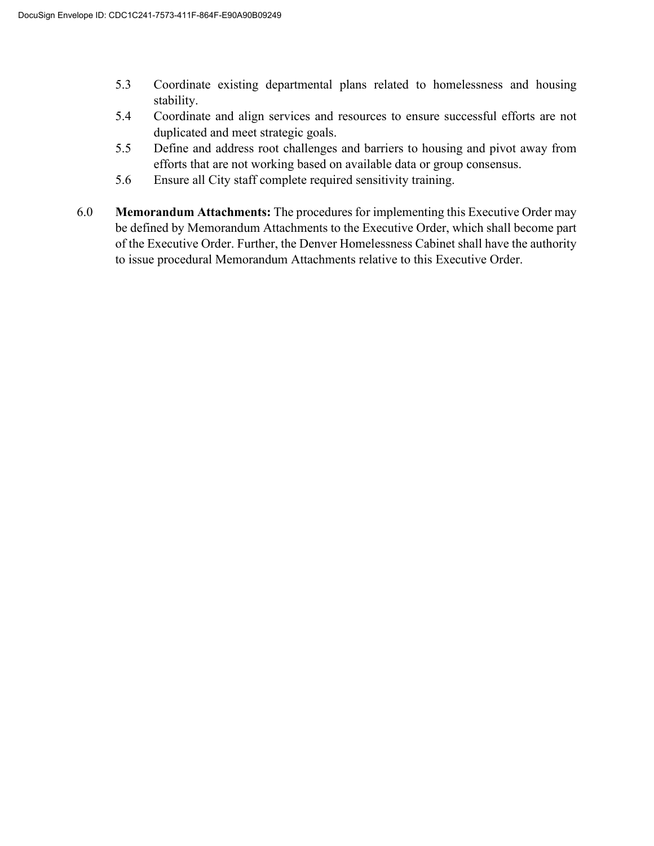- 5.3 Coordinate existing departmental plans related to homelessness and housing stability.
- 5.4 Coordinate and align services and resources to ensure successful efforts are not duplicated and meet strategic goals.
- 5.5 Define and address root challenges and barriers to housing and pivot away from efforts that are not working based on available data or group consensus.
- 5.6 Ensure all City staff complete required sensitivity training.
- 6.0 **Memorandum Attachments:** The procedures for implementing this Executive Order may be defined by Memorandum Attachments to the Executive Order, which shall become part of the Executive Order. Further, the Denver Homelessness Cabinet shall have the authority to issue procedural Memorandum Attachments relative to this Executive Order.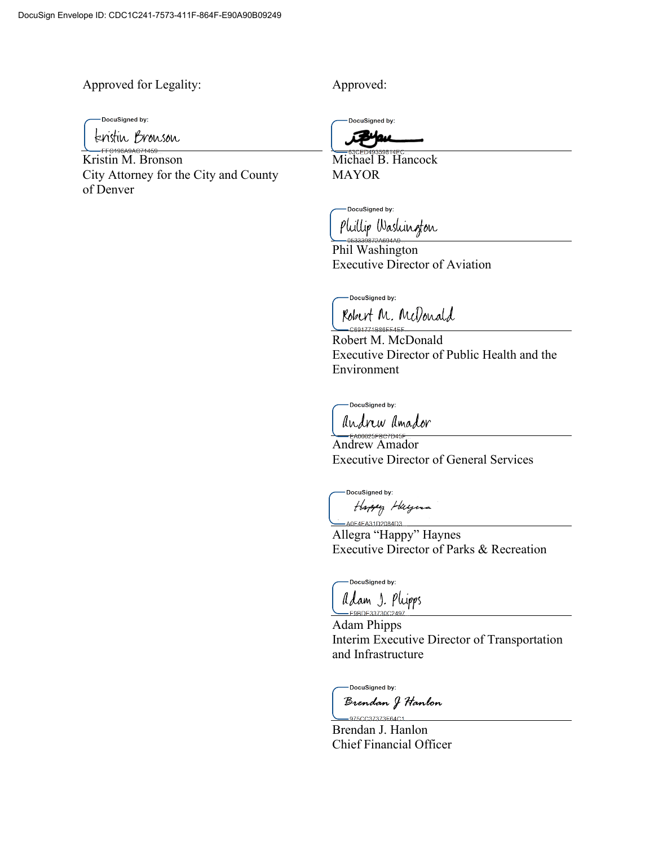Approved for Legality: Approved:

-DocuSigned by:

feristin Bronson

Kristin M. Bronson City Attorney for the City and County of Denver

DocuSigned by:

Michael B. Hancock MAYOR

-DocuSigned by: Phillip Washington

Phil Washington Executive Director of Aviation

DocuSigned by:

Robert M. McDonald

Robert M. McDonald Executive Director of Public Health and the Environment

-DocuSianed by:

andrew amador

Andrew Amador Executive Director of General Services

DocuSigned by: Happy Huyuna -A0F4FA31D2084D3

Allegra "Happy" Haynes Executive Director of Parks & Recreation

DocuSigned by:

Adam J. Plupps -E9BDE33730C2497

Adam Phipps Interim Executive Director of Transportation and Infrastructure

-DocuSigned by:

Brendan J Hanlon  $-975CC37373F64C1$ 

Brendan J. Hanlon Chief Financial Officer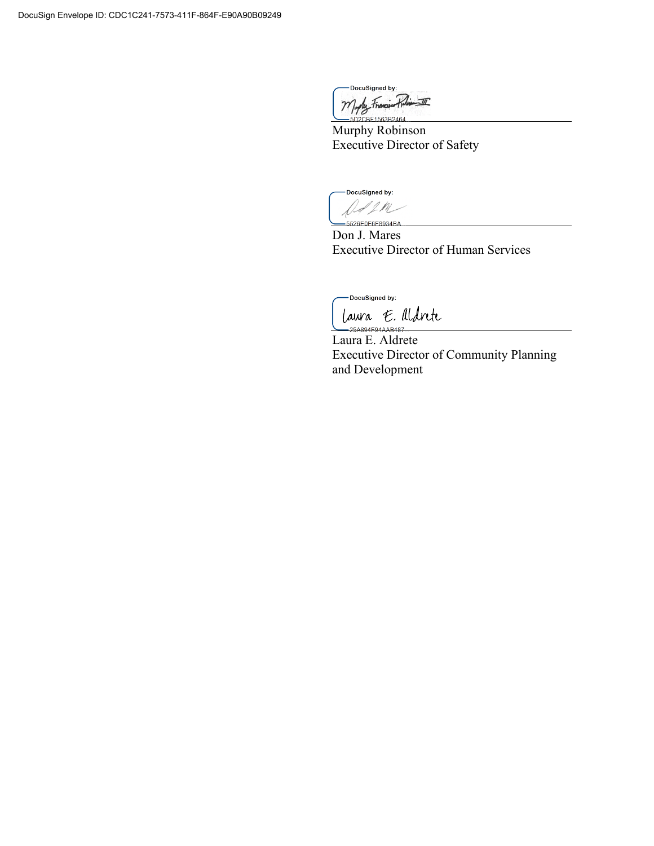DocuSigned by: Mylly Francisco Roling III

Murphy Robinson Executive Director of Safety

DocuSigned by: -<br>5526E0E6E8934BA

Don J. Mares Executive Director of Human Services

DocuSigned by:

laura E. Aldrete 25A894E94AAB487

Laura E. Aldrete Executive Director of Community Planning and Development